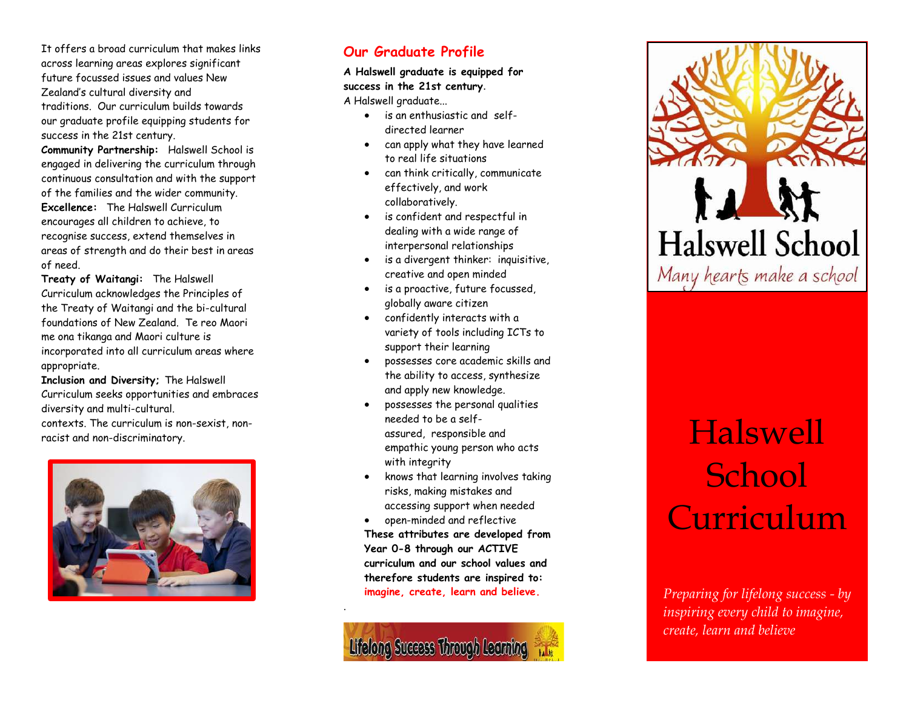It offers a broad curriculum that makes links across learning areas explores significant future focussed issues and values New Zealand's cultural diversity and traditions. Our curriculum builds towards our graduate profile equipping students for success in the 21st century.

**Community Partnership:** Halswell School is engaged in delivering the curriculum through continuous consultation and with the support of the families and the wider community. **Excellence:** The Halswell Curriculum encourages all children to achieve, to recognise success, extend themselves in areas of strength and do their best in areas of need.

**Treaty of Waitangi:** The Halswell Curriculum acknowledges the Principles of the Treaty of Waitangi and the bi -cultural foundations of New Zealand. Te reo Maori me ona tikanga and Maori culture is incorporated into all curriculum areas where appropriate.

**Inclusion and Diversity;** The Halswell Curriculum seeks opportunities and embraces diversity and multi -cultural .

contexts. The curriculum is non -sexist, non racist and non -discriminatory.



### **Our Graduate Profile**

**A Halswell graduate is equipped for success in the 21st century** . A Halswell graduate...

- is an enthusiastic and self directed learner
- can apply what they have learned to real life situations
- can think critically, communicate effectively, and work collaboratively.
- is confident and respectful in dealing with a wide range of interpersonal relationships
- is a divergent thinker: inquisitive, creative and open minded
- is a proactive, future focussed, globally aware citizen
- confidently interacts with a variety of tools including ICTs to support their learning
- possesses core academic skills and the ability to access, synthesize and apply new knowledge.
- possesses the personal qualities needed to be a self assured, responsible and empathic young person who acts with integrity
- knows that learning involves taking risks, making mistakes and accessing support when needed
- open-minded and reflective **These attributes are developed from Year 0 -8 through our ACTIVE curriculum and our school values and therefore students are inspired to: imagine, create, learn and believe .**



.

# **Halswell School** Many hearts make a school

## Halswell School Curriculum

*Preparing for lifelong success - by inspiring every child to imagine, create, learn and believe*